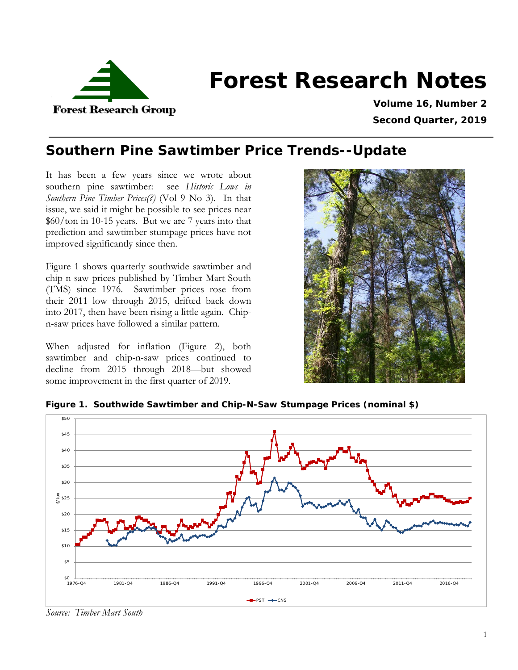

# **Forest Research Notes**

**Volume 16, Number 2 Second Quarter, 2019**

## **Southern Pine Sawtimber Price Trends--Update**

It has been a few years since we wrote about southern pine sawtimber: see *Historic Lows in Southern Pine Timber Prices(?)* (Vol 9 No 3). In that issue, we said it might be possible to see prices near \$60/ton in 10-15 years. But we are 7 years into that prediction and sawtimber stumpage prices have not improved significantly since then.

[Figure 1](#page-0-0) shows quarterly southwide sawtimber and chip-n-saw prices published by Timber Mart-South (TMS) since 1976. Sawtimber prices rose from their 2011 low through 2015, drifted back down into 2017, then have been rising a little again. Chipn-saw prices have followed a similar pattern.

When adjusted for inflation [\(Figure 2\)](#page-1-0), both sawtimber and chip-n-saw prices continued to decline from 2015 through 2018—but showed some improvement in the first quarter of 2019.



<span id="page-0-0"></span>



*Source: Timber Mart South*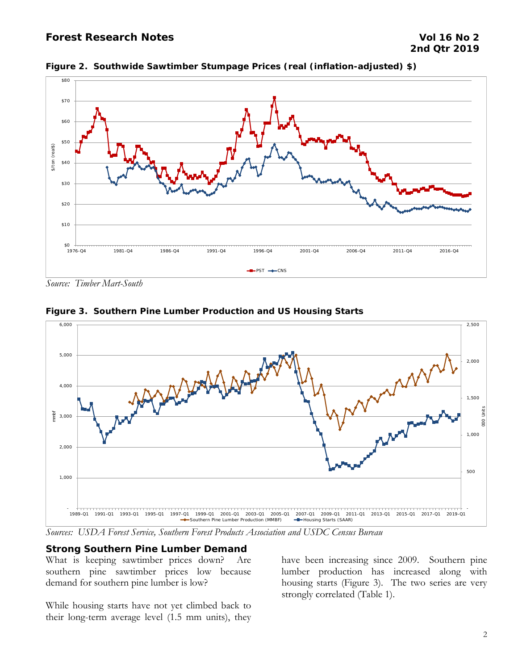## **Forest Research Notes Vol 16 No 2**



<span id="page-1-0"></span>**Figure 2. Southwide Sawtimber Stumpage Prices (real (inflation-adjusted) \$)**

*Source: Timber Mart-South*



**Figure 3. Southern Pine Lumber Production and US Housing Starts**

*Sources: USDA Forest Service, Southern Forest Products Association and USDC Census Bureau*

## **Strong Southern Pine Lumber Demand**

What is keeping sawtimber prices down? Are southern pine sawtimber prices low because demand for southern pine lumber is low?

While housing starts have not yet climbed back to their long-term average level (1.5 mm units), they

have been increasing since 2009. Southern pine lumber production has increased along with housing starts [\(Figure 3\)](#page-2-0). The two series are very strongly correlated [\(Table 1\)](#page-2-1).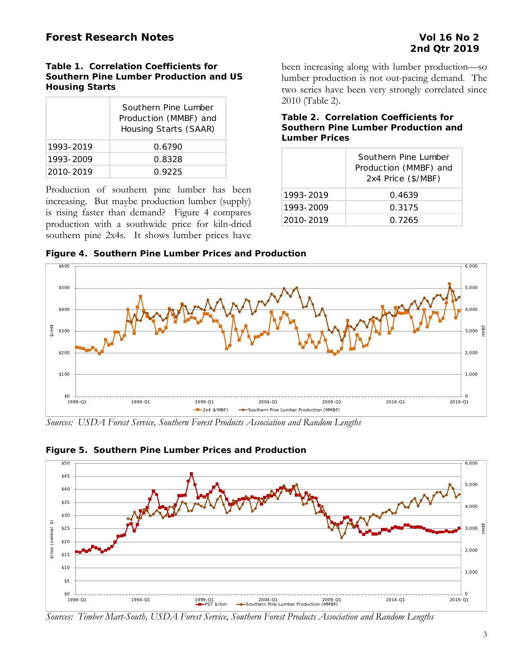## <span id="page-2-1"></span>**Table 1. Correlation Coefficients for Southern Pine Lumber Production and US Housing Starts**

|           | Southern Pine Lumber<br>Production (MMBF) and<br>Housing Starts (SAAR) |
|-----------|------------------------------------------------------------------------|
| 1993-2019 | 0.6790                                                                 |
| 1993-2009 | 0.8328                                                                 |
| 2010-2019 | 0.9225                                                                 |

Production of southern pine lumber has been increasing. But maybe production lumber (supply) is rising faster than demand? [Figure 4](#page-2-0) compares production with a southwide price for kiln-dried southern pine 2x4s. It shows lumber prices have been increasing along with lumber production—so lumber production is not out-pacing demand. The two series have been very strongly correlated since 2010 [\(Table 2\)](#page-2-2).

## <span id="page-2-2"></span>**Table 2. Correlation Coefficients for Southern Pine Lumber Production and Lumber Prices**

|           | Southern Pine Lumber<br>Production (MMBF) and<br>2x4 Price (\$/MBF) |
|-----------|---------------------------------------------------------------------|
| 1993-2019 | 0.4639                                                              |
| 1993-2009 | 0.3175                                                              |
| 2010-2019 | 0.7265                                                              |

<span id="page-2-0"></span>**Figure 4. Southern Pine Lumber Prices and Production**



*Sources: USDA Forest Service, Southern Forest Products Association and Random Lengths*



<span id="page-2-3"></span>**Figure 5. Southern Pine Lumber Prices and Production**

*Sources: Timber Mart-South, USDA Forest Service, Southern Forest Products Association and Random Lengths*